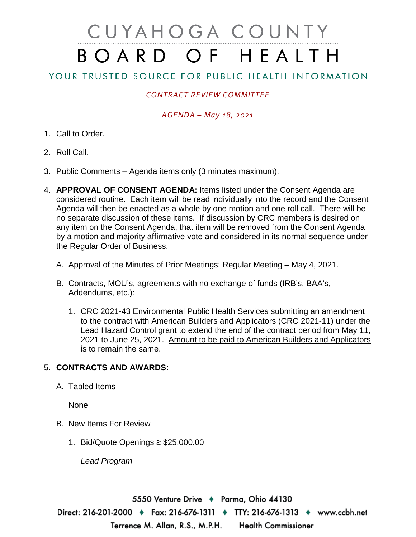# CUYAHOGA COUNTY BOARD OF HEALTH

# YOUR TRUSTED SOURCE FOR PUBLIC HEALTH INFORMATION

## *CONTRACT REVIEW COMMITTEE*

### *AGENDA – May 18, 2021*

- 1. Call to Order.
- 2. Roll Call.
- 3. Public Comments Agenda items only (3 minutes maximum).
- 4. **APPROVAL OF CONSENT AGENDA:** Items listed under the Consent Agenda are considered routine. Each item will be read individually into the record and the Consent Agenda will then be enacted as a whole by one motion and one roll call. There will be no separate discussion of these items. If discussion by CRC members is desired on any item on the Consent Agenda, that item will be removed from the Consent Agenda by a motion and majority affirmative vote and considered in its normal sequence under the Regular Order of Business.
	- A. Approval of the Minutes of Prior Meetings: Regular Meeting May 4, 2021.
	- B. Contracts, MOU's, agreements with no exchange of funds (IRB's, BAA's, Addendums, etc.):
		- 1. CRC 2021-43 Environmental Public Health Services submitting an amendment to the contract with American Builders and Applicators (CRC 2021-11) under the Lead Hazard Control grant to extend the end of the contract period from May 11, 2021 to June 25, 2021. Amount to be paid to American Builders and Applicators is to remain the same.

#### 5. **CONTRACTS AND AWARDS:**

A. Tabled Items

None

- B. New Items For Review
	- 1. Bid/Quote Openings ≥ \$25,000.00

*Lead Program* 

5550 Venture Drive ♦ Parma, Ohio 44130 Direct: 216-201-2000 ♦ Fax: 216-676-1311 ♦ TTY: 216-676-1313 ♦ www.ccbh.net Terrence M. Allan, R.S., M.P.H. **Health Commissioner**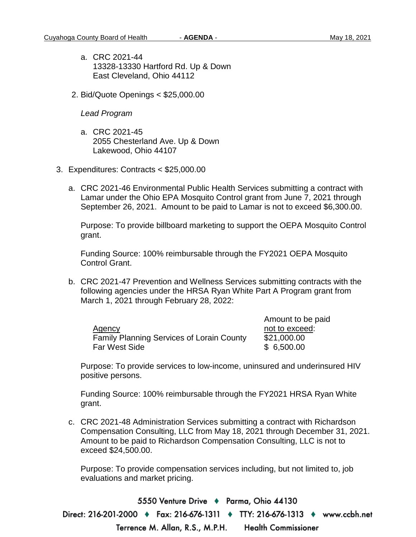- a. CRC 2021-44 13328-13330 Hartford Rd. Up & Down East Cleveland, Ohio 44112
- 2. Bid/Quote Openings < \$25,000.00

#### *Lead Program*

- a. CRC 2021-45 2055 Chesterland Ave. Up & Down Lakewood, Ohio 44107
- 3. Expenditures: Contracts < \$25,000.00
	- a. CRC 2021-46 Environmental Public Health Services submitting a contract with Lamar under the Ohio EPA Mosquito Control grant from June 7, 2021 through September 26, 2021. Amount to be paid to Lamar is not to exceed \$6,300.00.

Purpose: To provide billboard marketing to support the OEPA Mosquito Control grant.

Funding Source: 100% reimbursable through the FY2021 OEPA Mosquito Control Grant.

b. CRC 2021-47 Prevention and Wellness Services submitting contracts with the following agencies under the HRSA Ryan White Part A Program grant from March 1, 2021 through February 28, 2022:

|                                                  | Amount to be paid |
|--------------------------------------------------|-------------------|
| Agency                                           | not to exceed:    |
| <b>Family Planning Services of Lorain County</b> | \$21,000.00       |
| Far West Side                                    | \$6,500.00        |

Purpose: To provide services to low-income, uninsured and underinsured HIV positive persons.

Funding Source: 100% reimbursable through the FY2021 HRSA Ryan White grant.

c. CRC 2021-48 Administration Services submitting a contract with Richardson Compensation Consulting, LLC from May 18, 2021 through December 31, 2021. Amount to be paid to Richardson Compensation Consulting, LLC is not to exceed \$24,500.00.

Purpose: To provide compensation services including, but not limited to, job evaluations and market pricing.

5550 Venture Drive + Parma, Ohio 44130 Direct: 216-201-2000 ♦ Fax: 216-676-1311 ♦ TTY: 216-676-1313 ♦ www.ccbh.net Terrence M. Allan, R.S., M.P.H. **Health Commissioner**